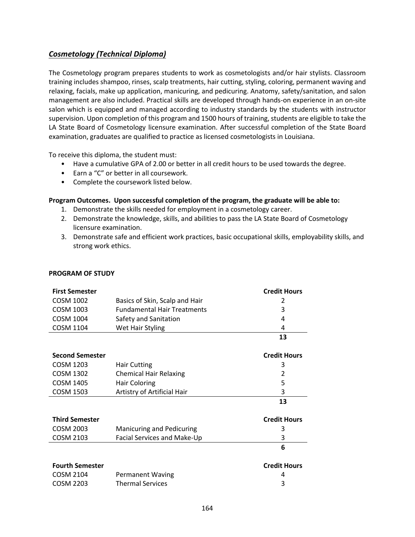## <span id="page-0-0"></span>*[Cosmetology \(Technical Diploma\)](#page-0-0)*

The Cosmetology program prepares students to work as cosmetologists and/or hair stylists. Classroom training includes shampoo, rinses, scalp treatments, hair cutting, styling, coloring, permanent waving and relaxing, facials, make up application, manicuring, and pedicuring. Anatomy, safety/sanitation, and salon management are also included. Practical skills are developed through hands-on experience in an on-site salon which is equipped and managed according to industry standards by the students with instructor supervision. Upon completion of this program and 1500 hours of training, students are eligible to take the LA State Board of Cosmetology licensure examination. After successful completion of the State Board examination, graduates are qualified to practice as licensed cosmetologists in Louisiana.

To receive this diploma, the student must:

- Have a cumulative GPA of 2.00 or better in all credit hours to be used towards the degree.
- Earn a "C" or better in all coursework.
- Complete the coursework listed below.

## **Program Outcomes. Upon successful completion of the program, the graduate will be able to:**

- 1. Demonstrate the skills needed for employment in a cosmetology career.
- 2. Demonstrate the knowledge, skills, and abilities to pass the LA State Board of Cosmetology licensure examination.
- 3. Demonstrate safe and efficient work practices, basic occupational skills, employability skills, and strong work ethics.

| <b>First Semester</b>  |                                    | <b>Credit Hours</b> |
|------------------------|------------------------------------|---------------------|
| <b>COSM 1002</b>       | Basics of Skin, Scalp and Hair     | 2                   |
| <b>COSM 1003</b>       | <b>Fundamental Hair Treatments</b> | 3                   |
| <b>COSM 1004</b>       | Safety and Sanitation              | 4                   |
| <b>COSM 1104</b>       | Wet Hair Styling                   | 4                   |
|                        |                                    | 13                  |
| <b>Second Semester</b> |                                    | <b>Credit Hours</b> |
| <b>COSM 1203</b>       | <b>Hair Cutting</b>                | 3                   |
| <b>COSM 1302</b>       | <b>Chemical Hair Relaxing</b>      | 2                   |
| <b>COSM 1405</b>       | <b>Hair Coloring</b>               | 5                   |
| <b>COSM 1503</b>       | Artistry of Artificial Hair        | 3                   |
|                        |                                    | 13                  |
| <b>Third Semester</b>  |                                    | <b>Credit Hours</b> |
| <b>COSM 2003</b>       | Manicuring and Pedicuring          | 3                   |
| <b>COSM 2103</b>       | Facial Services and Make-Up        | 3                   |
|                        |                                    | 6                   |
| <b>Fourth Semester</b> |                                    | <b>Credit Hours</b> |
| <b>COSM 2104</b>       | Permanent Waving                   | 4                   |
| COSM 2203              | <b>Thermal Services</b>            | 3                   |

## **PROGRAM OF STUDY**